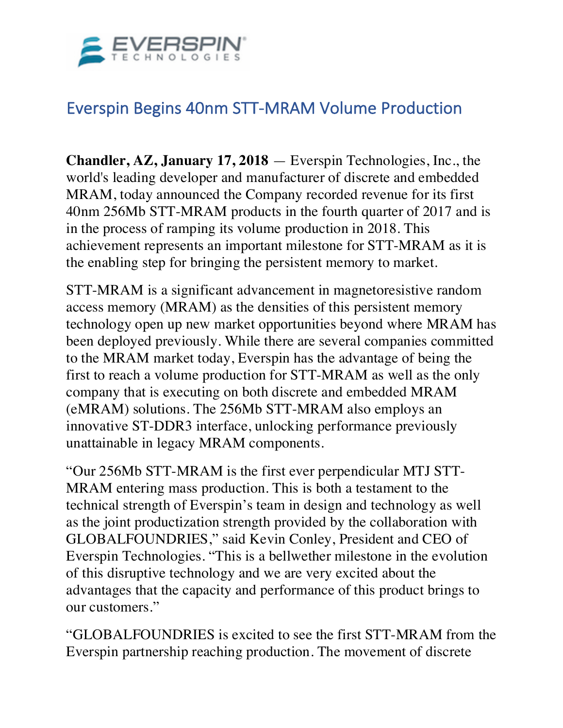

# Everspin Begins 40nm STT-MRAM Volume Production

**Chandler, AZ, January 17, 2018** — Everspin Technologies, Inc., the world's leading developer and manufacturer of discrete and embedded MRAM, today announced the Company recorded revenue for its first 40nm 256Mb STT-MRAM products in the fourth quarter of 2017 and is in the process of ramping its volume production in 2018. This achievement represents an important milestone for STT-MRAM as it is the enabling step for bringing the persistent memory to market.

STT-MRAM is a significant advancement in magnetoresistive random access memory (MRAM) as the densities of this persistent memory technology open up new market opportunities beyond where MRAM has been deployed previously. While there are several companies committed to the MRAM market today, Everspin has the advantage of being the first to reach a volume production for STT-MRAM as well as the only company that is executing on both discrete and embedded MRAM (eMRAM) solutions. The 256Mb STT-MRAM also employs an innovative ST-DDR3 interface, unlocking performance previously unattainable in legacy MRAM components.

"Our 256Mb STT-MRAM is the first ever perpendicular MTJ STT-MRAM entering mass production. This is both a testament to the technical strength of Everspin's team in design and technology as well as the joint productization strength provided by the collaboration with GLOBALFOUNDRIES," said Kevin Conley, President and CEO of Everspin Technologies. "This is a bellwether milestone in the evolution of this disruptive technology and we are very excited about the advantages that the capacity and performance of this product brings to our customers."

"GLOBALFOUNDRIES is excited to see the first STT-MRAM from the Everspin partnership reaching production. The movement of discrete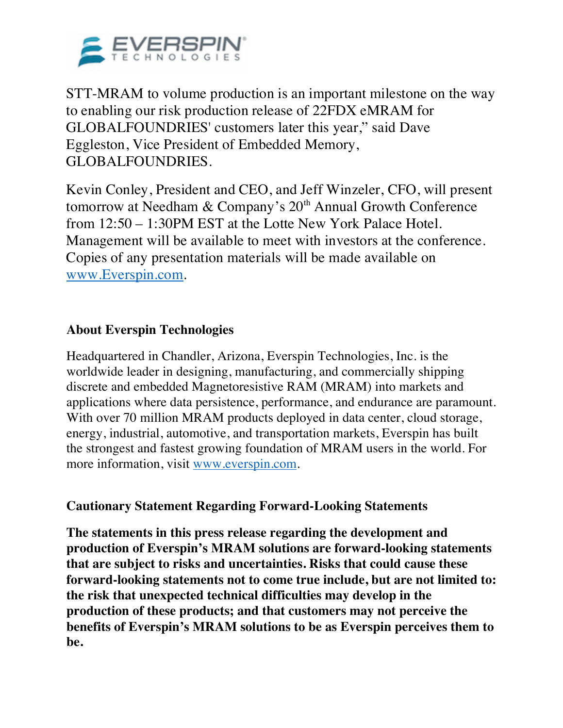

STT-MRAM to volume production is an important milestone on the way to enabling our risk production release of 22FDX eMRAM for GLOBALFOUNDRIES' customers later this year," said Dave Eggleston, Vice President of Embedded Memory, GLOBALFOUNDRIES.

Kevin Conley, President and CEO, and Jeff Winzeler, CFO, will present tomorrow at Needham & Company's 20<sup>th</sup> Annual Growth Conference from 12:50 – 1:30PM EST at the Lotte New York Palace Hotel. Management will be available to meet with investors at the conference. Copies of any presentation materials will be made available on www.Everspin.com.

### **About Everspin Technologies**

Headquartered in Chandler, Arizona, Everspin Technologies, Inc. is the worldwide leader in designing, manufacturing, and commercially shipping discrete and embedded Magnetoresistive RAM (MRAM) into markets and applications where data persistence, performance, and endurance are paramount. With over 70 million MRAM products deployed in data center, cloud storage, energy, industrial, automotive, and transportation markets, Everspin has built the strongest and fastest growing foundation of MRAM users in the world. For more information, visit www.everspin.com.

#### **Cautionary Statement Regarding Forward-Looking Statements**

**The statements in this press release regarding the development and production of Everspin's MRAM solutions are forward-looking statements that are subject to risks and uncertainties. Risks that could cause these forward-looking statements not to come true include, but are not limited to: the risk that unexpected technical difficulties may develop in the production of these products; and that customers may not perceive the benefits of Everspin's MRAM solutions to be as Everspin perceives them to be.**